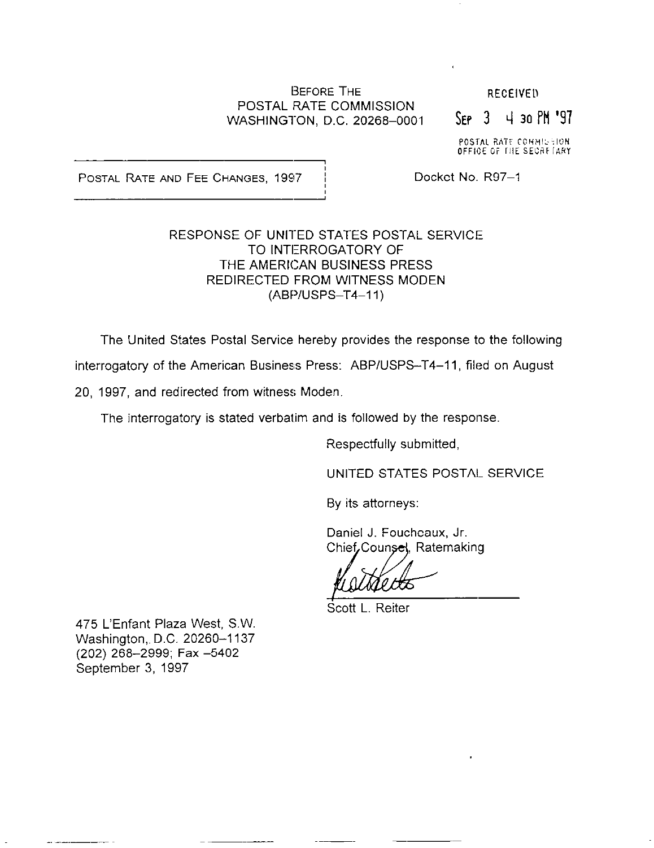#### BEFORE THE POSTAL RATE COMMISSION WASHINGTON, D.C. 20268-0001

**RECEIVEL** 

 $S_{FP}$  3 4 30 PM '97

POSTAL RATE COMMISSION<br>OFFICE OF THE SECRETARY

POSTAL RATE AND FEE CHANGES, 1997 | Docket No. R97-1

## RESPONSE OF UNITED STATES POSTAL SERVICE TO INTERROGATORY OF THE AMERICAN BUSINESS PRESS REDIRECTED FROM WITNESS MODEN (ABPIUSPS-T4-11)

The United States Postal Service hereby provides the response to the following

interrogatory of the American Business Press: ABP/USPS-T4-11, filed on August

20, 1997, and redirected from witness Moden

The interrogatory is stated verbatim and is followed by the response.

Respectfully submitted,

UNITED STATES POSTAIL SERVICE

By its attorneys:

Daniel J. Foucheaux, Jr. Chief Counsel, Ratemaking

Scott L. Reiter

475 L'Enfant Plaza West, S.W. Washington, D.C. 20260-1137 (202) 268-2999; Fax -5402 September 3, 1997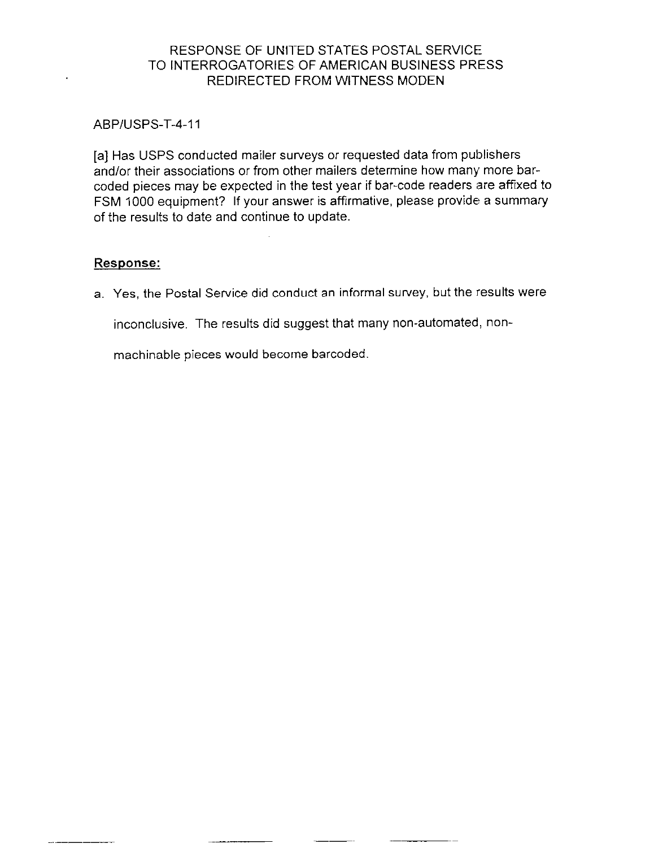# RESPONSE OF UNITED STATES POSTAL SERVICE TO INTERROGATORIES OF AMERICAN BUSINESS PRESS REDIRECTED FROM WITNESS MODEN

### ABP/USPS-T-4-11

[a] Has USPS conducted mailer surveys or requested data from publishers and/or their associations or from other mailers determine how many more barcoded pieces may be expected in the test year if bar-code readers are affixed to FSM 1000 equipment? If your answer is affirmative, please provide a summary of the results to date and continue to update.

# Response:

a. Yes, the Postal Service did conduct an informal survey, but the results were

inconclusive. The results did suggest that many non-automated, non-

machinable pieces would become barcoded.